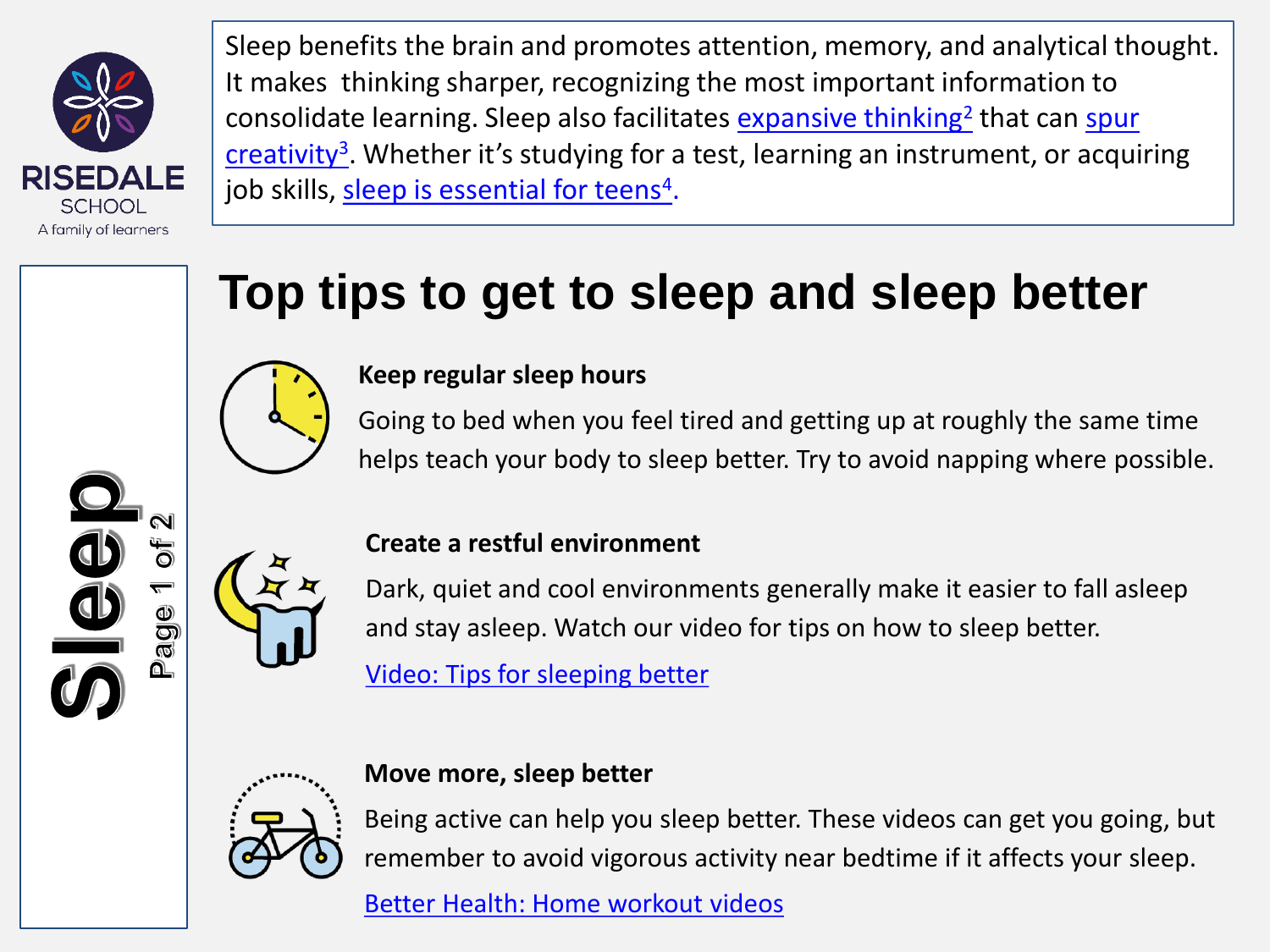

Sleep benefits the brain and promotes attention, memory, and analytical thought. It makes thinking sharper, recognizing the most important information to consolidate learning. Sleep also facilitates **[expansive thinking](https://pubmed.ncbi.nlm.nih.gov/23055117/)<sup>[2](https://pubmed.ncbi.nlm.nih.gov/23055117/)</sup> that can spur** creativity<sup>[3](https://onlinelibrary.wiley.com/doi/abs/10.1111/joid.12104)</sup>[. Whether it's studying for a test, learning an instrument, or acqui](https://onlinelibrary.wiley.com/doi/abs/10.1111/joid.12104)ring job skills, [sleep is essential for teens](https://www.sciencedaily.com/releases/2005/06/050629070337.htm)<sup>[4](https://www.sciencedaily.com/releases/2005/06/050629070337.htm)</sup>.

# **Top tips to get to sleep and sleep better**



### **Keep regular sleep hours**

Going to bed when you feel tired and getting up at roughly the same time helps teach your body to sleep better. Try to avoid napping where possible.





### **Create a restful environment**

Dark, quiet and cool environments generally make it easier to fall asleep and stay asleep. Watch our video for tips on how to sleep better.

[Video: Tips for sleeping better](https://bcove.video/2nMjePa)



## **Move more, sleep better**

Being active can help you sleep better. These videos can get you going, but remember to avoid vigorous activity near bedtime if it affects your sleep.

[Better Health: Home workout videos](https://www.nhs.uk/better-health/get-active/home-workout-videos/)